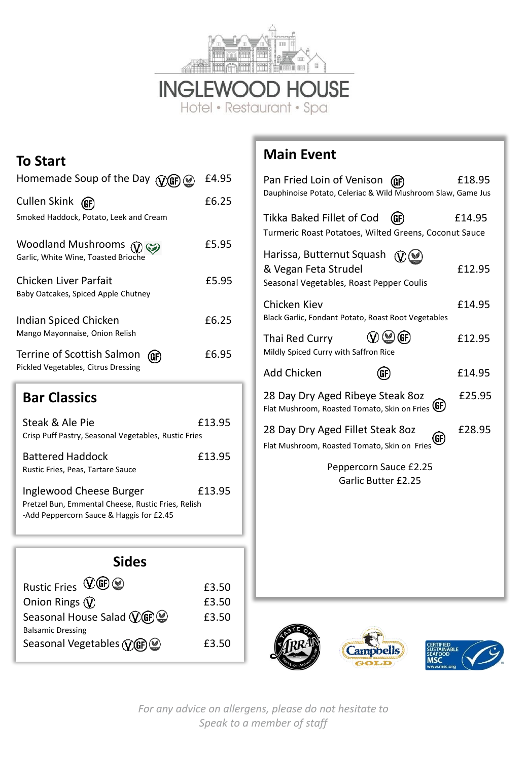

**INGLEWOOD HOUSE**<br>Hotel • Restaurant • Spa

### **To Start**

| Homemade Soup of the Day (VGF)                                            | £4.95 |
|---------------------------------------------------------------------------|-------|
| Cullen Skink<br>Smoked Haddock, Potato, Leek and Cream                    | £6.25 |
| Woodland Mushrooms $\widehat{V}$<br>Garlic, White Wine, Toasted Brioche   | £5.95 |
| Chicken Liver Parfait<br>Baby Oatcakes, Spiced Apple Chutney              | £5.95 |
| Indian Spiced Chicken<br>Mango Mayonnaise, Onion Relish                   | £6.25 |
| Terrine of Scottish Salmon<br>(GF)<br>Pickled Vegetables, Citrus Dressing | £6.95 |

# **Bar Classics**

| Steak & Ale Pie                                                               | £13.95 |
|-------------------------------------------------------------------------------|--------|
| Crisp Puff Pastry, Seasonal Vegetables, Rustic Fries                          |        |
| Battered Haddock<br>Rustic Fries, Peas, Tartare Sauce                         | £13.95 |
| Inglewood Cheese Burger<br>Pretzel Bun, Emmental Cheese, Rustic Fries, Relish | £13.95 |
| -Add Peppercorn Sauce & Haggis for £2.45                                      |        |

| <b>Sides</b>                                                                  |       |  |
|-------------------------------------------------------------------------------|-------|--|
| $\mathbb{Q}$ GP $\odot$<br><b>Rustic Fries</b>                                | £3.50 |  |
| Onion Rings $\mathcal{D}$                                                     | £3.50 |  |
| Seasonal House Salad $\mathbb{Q}$ GF $\mathbb{Q}$<br><b>Balsamic Dressing</b> | £3.50 |  |
| Seasonal Vegetables (VGF) @                                                   | £3.50 |  |

## **Main Event**

| Pan Fried Loin of Venison<br>Dauphinoise Potato, Celeriac & Wild Mushroom Slaw, Game Jus      | £18.95 |
|-----------------------------------------------------------------------------------------------|--------|
| Tikka Baked Fillet of Cod<br>(GF<br>Turmeric Roast Potatoes, Wilted Greens, Coconut Sauce     | £14.95 |
| Harissa, Butternut Squash<br>& Vegan Feta Strudel<br>Seasonal Vegetables, Roast Pepper Coulis | £12.95 |
| Chicken Kiev<br>Black Garlic, Fondant Potato, Roast Root Vegetables                           | £14.95 |
| (GF<br>Thai Red Curry<br>Mildly Spiced Curry with Saffron Rice                                | £12.95 |
| <b>Add Chicken</b>                                                                            | £14.95 |
| 28 Day Dry Aged Ribeye Steak 80z<br>Flat Mushroom, Roasted Tomato, Skin on Fries (GF)         | £25.95 |
| 28 Day Dry Aged Fillet Steak 80z<br>(GF)<br>Flat Mushroom, Roasted Tomato, Skin on Fries      | £28.95 |
| Peppercorn Sauce £2.25<br>Garlic Butter £2.25                                                 |        |
|                                                                                               |        |
|                                                                                               |        |
|                                                                                               |        |







*For any advice on allergens, please do not hesitate to Speak to a member of staff*